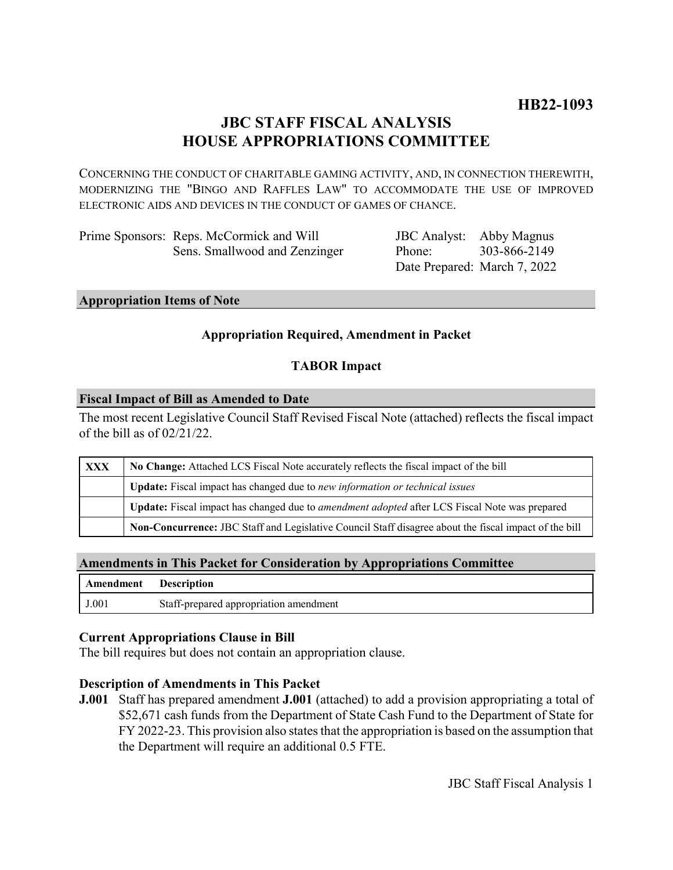# **JBC STAFF FISCAL ANALYSIS HOUSE APPROPRIATIONS COMMITTEE**

CONCERNING THE CONDUCT OF CHARITABLE GAMING ACTIVITY, AND, IN CONNECTION THEREWITH, MODERNIZING THE "BINGO AND RAFFLES LAW" TO ACCOMMODATE THE USE OF IMPROVED ELECTRONIC AIDS AND DEVICES IN THE CONDUCT OF GAMES OF CHANCE.

| Prime Sponsors: Reps. McCormick and Will |
|------------------------------------------|
| Sens. Smallwood and Zenzinger            |

JBC Analyst: Abby Magnus Phone: Date Prepared: March 7, 2022 303-866-2149

#### **Appropriation Items of Note**

## **Appropriation Required, Amendment in Packet**

## **TABOR Impact**

#### **Fiscal Impact of Bill as Amended to Date**

The most recent Legislative Council Staff Revised Fiscal Note (attached) reflects the fiscal impact of the bill as of 02/21/22.

| XXX | No Change: Attached LCS Fiscal Note accurately reflects the fiscal impact of the bill                       |  |
|-----|-------------------------------------------------------------------------------------------------------------|--|
|     | Update: Fiscal impact has changed due to new information or technical issues                                |  |
|     | <b>Update:</b> Fiscal impact has changed due to <i>amendment adopted</i> after LCS Fiscal Note was prepared |  |
|     | Non-Concurrence: JBC Staff and Legislative Council Staff disagree about the fiscal impact of the bill       |  |

#### **Amendments in This Packet for Consideration by Appropriations Committee**

| Amendment | <b>Description</b>                     |
|-----------|----------------------------------------|
| J.001     | Staff-prepared appropriation amendment |

#### **Current Appropriations Clause in Bill**

The bill requires but does not contain an appropriation clause.

#### **Description of Amendments in This Packet**

**J.001** Staff has prepared amendment **J.001** (attached) to add a provision appropriating a total of \$52,671 cash funds from the Department of State Cash Fund to the Department of State for FY 2022-23. This provision also states that the appropriation is based on the assumption that the Department will require an additional 0.5 FTE.